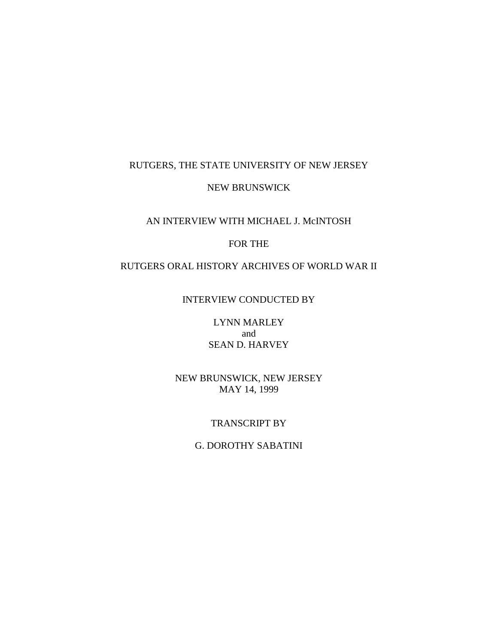# RUTGERS, THE STATE UNIVERSITY OF NEW JERSEY

### NEW BRUNSWICK

### AN INTERVIEW WITH MICHAEL J. McINTOSH

## FOR THE

# RUTGERS ORAL HISTORY ARCHIVES OF WORLD WAR II

### INTERVIEW CONDUCTED BY

LYNN MARLEY and SEAN D. HARVEY

NEW BRUNSWICK, NEW JERSEY MAY 14, 1999

#### TRANSCRIPT BY

## G. DOROTHY SABATINI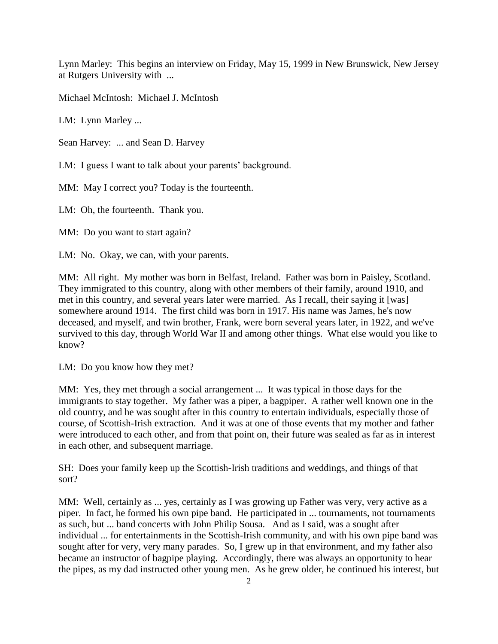Lynn Marley: This begins an interview on Friday, May 15, 1999 in New Brunswick, New Jersey at Rutgers University with ...

Michael McIntosh: Michael J. McIntosh

LM: Lynn Marley ...

Sean Harvey: ... and Sean D. Harvey

LM: I guess I want to talk about your parents' background.

MM: May I correct you? Today is the fourteenth.

LM: Oh, the fourteenth. Thank you.

MM: Do you want to start again?

LM: No. Okay, we can, with your parents.

MM: All right. My mother was born in Belfast, Ireland. Father was born in Paisley, Scotland. They immigrated to this country, along with other members of their family, around 1910, and met in this country, and several years later were married. As I recall, their saying it [was] somewhere around 1914. The first child was born in 1917. His name was James, he's now deceased, and myself, and twin brother, Frank, were born several years later, in 1922, and we've survived to this day, through World War II and among other things. What else would you like to know?

LM: Do you know how they met?

MM: Yes, they met through a social arrangement ... It was typical in those days for the immigrants to stay together. My father was a piper, a bagpiper. A rather well known one in the old country, and he was sought after in this country to entertain individuals, especially those of course, of Scottish-Irish extraction. And it was at one of those events that my mother and father were introduced to each other, and from that point on, their future was sealed as far as in interest in each other, and subsequent marriage.

SH: Does your family keep up the Scottish-Irish traditions and weddings, and things of that sort?

MM: Well, certainly as ... yes, certainly as I was growing up Father was very, very active as a piper. In fact, he formed his own pipe band. He participated in ... tournaments, not tournaments as such, but ... band concerts with John Philip Sousa. And as I said, was a sought after individual ... for entertainments in the Scottish-Irish community, and with his own pipe band was sought after for very, very many parades. So, I grew up in that environment, and my father also became an instructor of bagpipe playing. Accordingly, there was always an opportunity to hear the pipes, as my dad instructed other young men. As he grew older, he continued his interest, but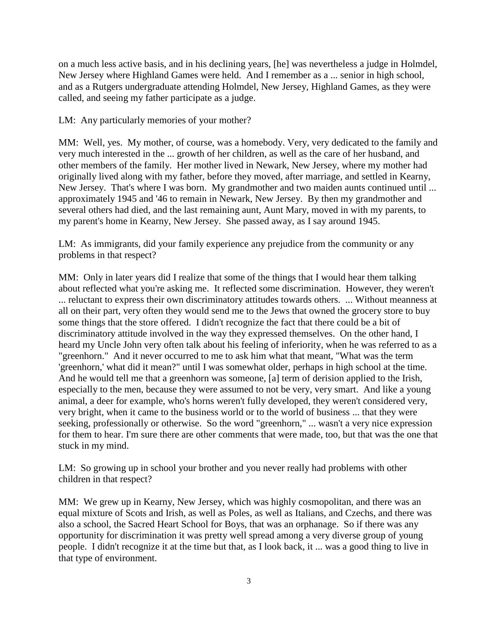on a much less active basis, and in his declining years, [he] was nevertheless a judge in Holmdel, New Jersey where Highland Games were held. And I remember as a ... senior in high school, and as a Rutgers undergraduate attending Holmdel, New Jersey, Highland Games, as they were called, and seeing my father participate as a judge.

LM: Any particularly memories of your mother?

MM: Well, yes. My mother, of course, was a homebody. Very, very dedicated to the family and very much interested in the ... growth of her children, as well as the care of her husband, and other members of the family. Her mother lived in Newark, New Jersey, where my mother had originally lived along with my father, before they moved, after marriage, and settled in Kearny, New Jersey. That's where I was born. My grandmother and two maiden aunts continued until ... approximately 1945 and '46 to remain in Newark, New Jersey. By then my grandmother and several others had died, and the last remaining aunt, Aunt Mary, moved in with my parents, to my parent's home in Kearny, New Jersey. She passed away, as I say around 1945.

LM: As immigrants, did your family experience any prejudice from the community or any problems in that respect?

MM: Only in later years did I realize that some of the things that I would hear them talking about reflected what you're asking me. It reflected some discrimination. However, they weren't ... reluctant to express their own discriminatory attitudes towards others. ... Without meanness at all on their part, very often they would send me to the Jews that owned the grocery store to buy some things that the store offered. I didn't recognize the fact that there could be a bit of discriminatory attitude involved in the way they expressed themselves. On the other hand, I heard my Uncle John very often talk about his feeling of inferiority, when he was referred to as a "greenhorn." And it never occurred to me to ask him what that meant, "What was the term 'greenhorn,' what did it mean?" until I was somewhat older, perhaps in high school at the time. And he would tell me that a greenhorn was someone, [a] term of derision applied to the Irish, especially to the men, because they were assumed to not be very, very smart. And like a young animal, a deer for example, who's horns weren't fully developed, they weren't considered very, very bright, when it came to the business world or to the world of business ... that they were seeking, professionally or otherwise. So the word "greenhorn," ... wasn't a very nice expression for them to hear. I'm sure there are other comments that were made, too, but that was the one that stuck in my mind.

LM: So growing up in school your brother and you never really had problems with other children in that respect?

MM: We grew up in Kearny, New Jersey, which was highly cosmopolitan, and there was an equal mixture of Scots and Irish, as well as Poles, as well as Italians, and Czechs, and there was also a school, the Sacred Heart School for Boys, that was an orphanage. So if there was any opportunity for discrimination it was pretty well spread among a very diverse group of young people. I didn't recognize it at the time but that, as I look back, it ... was a good thing to live in that type of environment.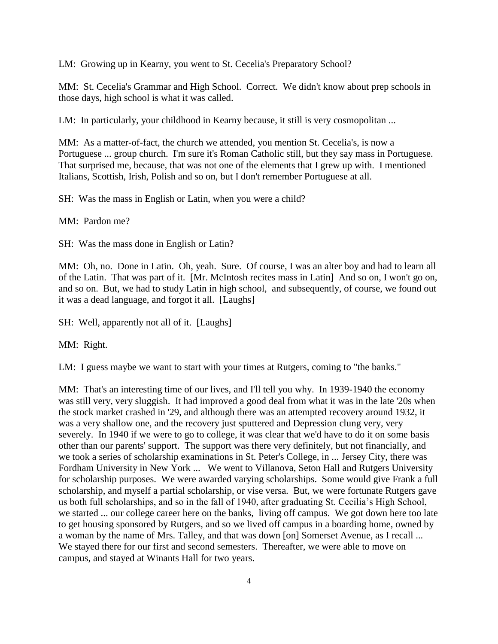LM: Growing up in Kearny, you went to St. Cecelia's Preparatory School?

MM: St. Cecelia's Grammar and High School. Correct. We didn't know about prep schools in those days, high school is what it was called.

LM: In particularly, your childhood in Kearny because, it still is very cosmopolitan ...

MM: As a matter-of-fact, the church we attended, you mention St. Cecelia's, is now a Portuguese ... group church. I'm sure it's Roman Catholic still, but they say mass in Portuguese. That surprised me, because, that was not one of the elements that I grew up with. I mentioned Italians, Scottish, Irish, Polish and so on, but I don't remember Portuguese at all.

SH: Was the mass in English or Latin, when you were a child?

MM: Pardon me?

SH: Was the mass done in English or Latin?

MM: Oh, no. Done in Latin. Oh, yeah. Sure. Of course, I was an alter boy and had to learn all of the Latin. That was part of it. [Mr. McIntosh recites mass in Latin] And so on, I won't go on, and so on. But, we had to study Latin in high school, and subsequently, of course, we found out it was a dead language, and forgot it all. [Laughs]

SH: Well, apparently not all of it. [Laughs]

MM: Right.

LM: I guess maybe we want to start with your times at Rutgers, coming to "the banks."

MM: That's an interesting time of our lives, and I'll tell you why. In 1939-1940 the economy was still very, very sluggish. It had improved a good deal from what it was in the late '20s when the stock market crashed in '29, and although there was an attempted recovery around 1932, it was a very shallow one, and the recovery just sputtered and Depression clung very, very severely. In 1940 if we were to go to college, it was clear that we'd have to do it on some basis other than our parents' support. The support was there very definitely, but not financially, and we took a series of scholarship examinations in St. Peter's College, in ... Jersey City, there was Fordham University in New York ... We went to Villanova, Seton Hall and Rutgers University for scholarship purposes. We were awarded varying scholarships. Some would give Frank a full scholarship, and myself a partial scholarship, or vise versa. But, we were fortunate Rutgers gave us both full scholarships, and so in the fall of 1940, after graduating St. Cecilia's High School, we started ... our college career here on the banks, living off campus. We got down here too late to get housing sponsored by Rutgers, and so we lived off campus in a boarding home, owned by a woman by the name of Mrs. Talley, and that was down [on] Somerset Avenue, as I recall ... We stayed there for our first and second semesters. Thereafter, we were able to move on campus, and stayed at Winants Hall for two years.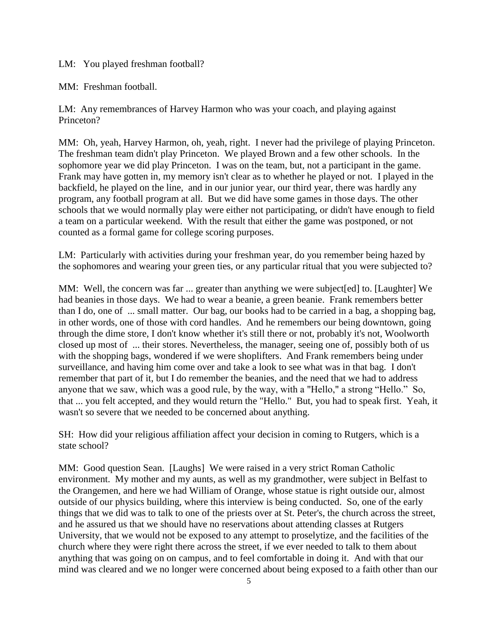LM: You played freshman football?

MM: Freshman football.

LM: Any remembrances of Harvey Harmon who was your coach, and playing against Princeton?

MM: Oh, yeah, Harvey Harmon, oh, yeah, right. I never had the privilege of playing Princeton. The freshman team didn't play Princeton. We played Brown and a few other schools. In the sophomore year we did play Princeton. I was on the team, but, not a participant in the game. Frank may have gotten in, my memory isn't clear as to whether he played or not. I played in the backfield, he played on the line, and in our junior year, our third year, there was hardly any program, any football program at all. But we did have some games in those days. The other schools that we would normally play were either not participating, or didn't have enough to field a team on a particular weekend. With the result that either the game was postponed, or not counted as a formal game for college scoring purposes.

LM: Particularly with activities during your freshman year, do you remember being hazed by the sophomores and wearing your green ties, or any particular ritual that you were subjected to?

MM: Well, the concern was far ... greater than anything we were subject [ed] to. [Laughter] We had beanies in those days. We had to wear a beanie, a green beanie. Frank remembers better than I do, one of ... small matter. Our bag, our books had to be carried in a bag, a shopping bag, in other words, one of those with cord handles. And he remembers our being downtown, going through the dime store, I don't know whether it's still there or not, probably it's not, Woolworth closed up most of ... their stores. Nevertheless, the manager, seeing one of, possibly both of us with the shopping bags, wondered if we were shoplifters. And Frank remembers being under surveillance, and having him come over and take a look to see what was in that bag. I don't remember that part of it, but I do remember the beanies, and the need that we had to address anyone that we saw, which was a good rule, by the way, with a "Hello," a strong "Hello." So, that ... you felt accepted, and they would return the "Hello." But, you had to speak first. Yeah, it wasn't so severe that we needed to be concerned about anything.

SH: How did your religious affiliation affect your decision in coming to Rutgers, which is a state school?

MM: Good question Sean. [Laughs] We were raised in a very strict Roman Catholic environment. My mother and my aunts, as well as my grandmother, were subject in Belfast to the Orangemen, and here we had William of Orange, whose statue is right outside our, almost outside of our physics building, where this interview is being conducted. So, one of the early things that we did was to talk to one of the priests over at St. Peter's, the church across the street, and he assured us that we should have no reservations about attending classes at Rutgers University, that we would not be exposed to any attempt to proselytize, and the facilities of the church where they were right there across the street, if we ever needed to talk to them about anything that was going on on campus, and to feel comfortable in doing it. And with that our mind was cleared and we no longer were concerned about being exposed to a faith other than our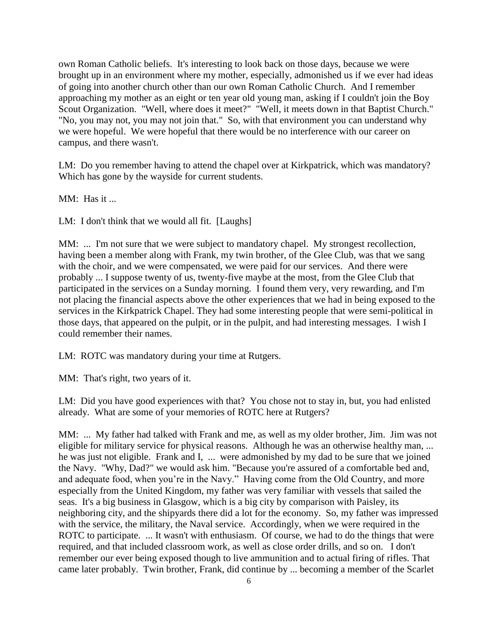own Roman Catholic beliefs. It's interesting to look back on those days, because we were brought up in an environment where my mother, especially, admonished us if we ever had ideas of going into another church other than our own Roman Catholic Church. And I remember approaching my mother as an eight or ten year old young man, asking if I couldn't join the Boy Scout Organization. "Well, where does it meet?" "Well, it meets down in that Baptist Church." "No, you may not, you may not join that." So, with that environment you can understand why we were hopeful. We were hopeful that there would be no interference with our career on campus, and there wasn't.

LM: Do you remember having to attend the chapel over at Kirkpatrick, which was mandatory? Which has gone by the wayside for current students.

MM: Has it ...

LM: I don't think that we would all fit. [Laughs]

MM: ... I'm not sure that we were subject to mandatory chapel. My strongest recollection, having been a member along with Frank, my twin brother, of the Glee Club, was that we sang with the choir, and we were compensated, we were paid for our services. And there were probably ... I suppose twenty of us, twenty-five maybe at the most, from the Glee Club that participated in the services on a Sunday morning. I found them very, very rewarding, and I'm not placing the financial aspects above the other experiences that we had in being exposed to the services in the Kirkpatrick Chapel. They had some interesting people that were semi-political in those days, that appeared on the pulpit, or in the pulpit, and had interesting messages. I wish I could remember their names.

LM: ROTC was mandatory during your time at Rutgers.

MM: That's right, two years of it.

LM: Did you have good experiences with that? You chose not to stay in, but, you had enlisted already. What are some of your memories of ROTC here at Rutgers?

MM: ... My father had talked with Frank and me, as well as my older brother, Jim. Jim was not eligible for military service for physical reasons. Although he was an otherwise healthy man, ... he was just not eligible. Frank and I, ... were admonished by my dad to be sure that we joined the Navy. "Why, Dad?" we would ask him. "Because you're assured of a comfortable bed and, and adequate food, when you're in the Navy." Having come from the Old Country, and more especially from the United Kingdom, my father was very familiar with vessels that sailed the seas. It's a big business in Glasgow, which is a big city by comparison with Paisley, its neighboring city, and the shipyards there did a lot for the economy. So, my father was impressed with the service, the military, the Naval service. Accordingly, when we were required in the ROTC to participate. ... It wasn't with enthusiasm. Of course, we had to do the things that were required, and that included classroom work, as well as close order drills, and so on. I don't remember our ever being exposed though to live ammunition and to actual firing of rifles. That came later probably. Twin brother, Frank, did continue by ... becoming a member of the Scarlet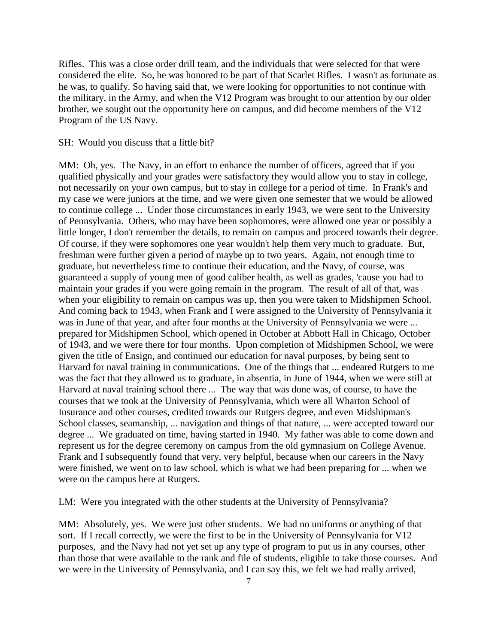Rifles. This was a close order drill team, and the individuals that were selected for that were considered the elite. So, he was honored to be part of that Scarlet Rifles. I wasn't as fortunate as he was, to qualify. So having said that, we were looking for opportunities to not continue with the military, in the Army, and when the V12 Program was brought to our attention by our older brother, we sought out the opportunity here on campus, and did become members of the V12 Program of the US Navy.

#### SH: Would you discuss that a little bit?

MM: Oh, yes. The Navy, in an effort to enhance the number of officers, agreed that if you qualified physically and your grades were satisfactory they would allow you to stay in college, not necessarily on your own campus, but to stay in college for a period of time. In Frank's and my case we were juniors at the time, and we were given one semester that we would be allowed to continue college ... Under those circumstances in early 1943, we were sent to the University of Pennsylvania. Others, who may have been sophomores, were allowed one year or possibly a little longer, I don't remember the details, to remain on campus and proceed towards their degree. Of course, if they were sophomores one year wouldn't help them very much to graduate. But, freshman were further given a period of maybe up to two years. Again, not enough time to graduate, but nevertheless time to continue their education, and the Navy, of course, was guaranteed a supply of young men of good caliber health, as well as grades, 'cause you had to maintain your grades if you were going remain in the program. The result of all of that, was when your eligibility to remain on campus was up, then you were taken to Midshipmen School. And coming back to 1943, when Frank and I were assigned to the University of Pennsylvania it was in June of that year, and after four months at the University of Pennsylvania we were ... prepared for Midshipmen School, which opened in October at Abbott Hall in Chicago, October of 1943, and we were there for four months. Upon completion of Midshipmen School, we were given the title of Ensign, and continued our education for naval purposes, by being sent to Harvard for naval training in communications. One of the things that ... endeared Rutgers to me was the fact that they allowed us to graduate, in absentia, in June of 1944, when we were still at Harvard at naval training school there ... The way that was done was, of course, to have the courses that we took at the University of Pennsylvania, which were all Wharton School of Insurance and other courses, credited towards our Rutgers degree, and even Midshipman's School classes, seamanship, ... navigation and things of that nature, ... were accepted toward our degree ... We graduated on time, having started in 1940. My father was able to come down and represent us for the degree ceremony on campus from the old gymnasium on College Avenue. Frank and I subsequently found that very, very helpful, because when our careers in the Navy were finished, we went on to law school, which is what we had been preparing for ... when we were on the campus here at Rutgers.

LM: Were you integrated with the other students at the University of Pennsylvania?

MM: Absolutely, yes. We were just other students. We had no uniforms or anything of that sort. If I recall correctly, we were the first to be in the University of Pennsylvania for V12 purposes, and the Navy had not yet set up any type of program to put us in any courses, other than those that were available to the rank and file of students, eligible to take those courses. And we were in the University of Pennsylvania, and I can say this, we felt we had really arrived,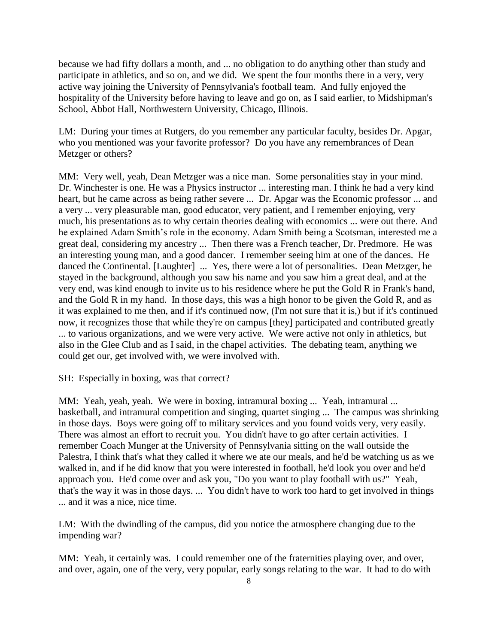because we had fifty dollars a month, and ... no obligation to do anything other than study and participate in athletics, and so on, and we did. We spent the four months there in a very, very active way joining the University of Pennsylvania's football team. And fully enjoyed the hospitality of the University before having to leave and go on, as I said earlier, to Midshipman's School, Abbot Hall, Northwestern University, Chicago, Illinois.

LM: During your times at Rutgers, do you remember any particular faculty, besides Dr. Apgar, who you mentioned was your favorite professor? Do you have any remembrances of Dean Metzger or others?

MM: Very well, yeah, Dean Metzger was a nice man. Some personalities stay in your mind. Dr. Winchester is one. He was a Physics instructor ... interesting man. I think he had a very kind heart, but he came across as being rather severe ... Dr. Apgar was the Economic professor ... and a very ... very pleasurable man, good educator, very patient, and I remember enjoying, very much, his presentations as to why certain theories dealing with economics ... were out there. And he explained Adam Smith's role in the economy. Adam Smith being a Scotsman, interested me a great deal, considering my ancestry ... Then there was a French teacher, Dr. Predmore. He was an interesting young man, and a good dancer. I remember seeing him at one of the dances. He danced the Continental. [Laughter] ... Yes, there were a lot of personalities. Dean Metzger, he stayed in the background, although you saw his name and you saw him a great deal, and at the very end, was kind enough to invite us to his residence where he put the Gold R in Frank's hand, and the Gold R in my hand. In those days, this was a high honor to be given the Gold R, and as it was explained to me then, and if it's continued now, (I'm not sure that it is,) but if it's continued now, it recognizes those that while they're on campus [they] participated and contributed greatly ... to various organizations, and we were very active. We were active not only in athletics, but also in the Glee Club and as I said, in the chapel activities. The debating team, anything we could get our, get involved with, we were involved with.

SH: Especially in boxing, was that correct?

MM: Yeah, yeah, yeah. We were in boxing, intramural boxing ... Yeah, intramural ... basketball, and intramural competition and singing, quartet singing ... The campus was shrinking in those days. Boys were going off to military services and you found voids very, very easily. There was almost an effort to recruit you. You didn't have to go after certain activities. I remember Coach Munger at the University of Pennsylvania sitting on the wall outside the Palestra, I think that's what they called it where we ate our meals, and he'd be watching us as we walked in, and if he did know that you were interested in football, he'd look you over and he'd approach you. He'd come over and ask you, "Do you want to play football with us?" Yeah, that's the way it was in those days. ... You didn't have to work too hard to get involved in things ... and it was a nice, nice time.

LM: With the dwindling of the campus, did you notice the atmosphere changing due to the impending war?

MM: Yeah, it certainly was. I could remember one of the fraternities playing over, and over, and over, again, one of the very, very popular, early songs relating to the war. It had to do with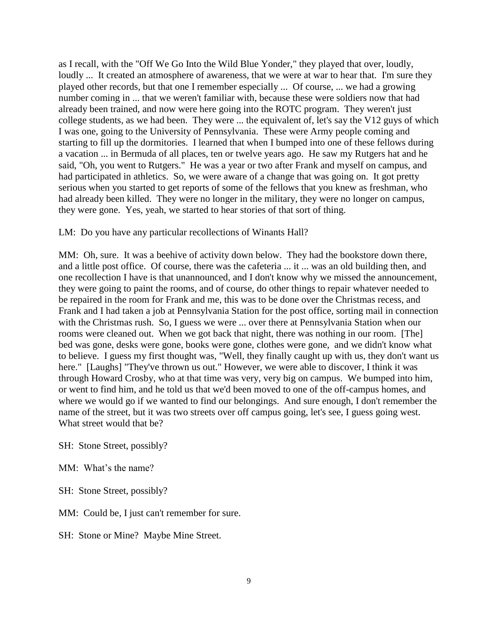as I recall, with the "Off We Go Into the Wild Blue Yonder," they played that over, loudly, loudly ... It created an atmosphere of awareness, that we were at war to hear that. I'm sure they played other records, but that one I remember especially ... Of course, ... we had a growing number coming in ... that we weren't familiar with, because these were soldiers now that had already been trained, and now were here going into the ROTC program. They weren't just college students, as we had been. They were ... the equivalent of, let's say the V12 guys of which I was one, going to the University of Pennsylvania. These were Army people coming and starting to fill up the dormitories. I learned that when I bumped into one of these fellows during a vacation ... in Bermuda of all places, ten or twelve years ago. He saw my Rutgers hat and he said, "Oh, you went to Rutgers." He was a year or two after Frank and myself on campus, and had participated in athletics. So, we were aware of a change that was going on. It got pretty serious when you started to get reports of some of the fellows that you knew as freshman, who had already been killed. They were no longer in the military, they were no longer on campus, they were gone. Yes, yeah, we started to hear stories of that sort of thing.

#### LM: Do you have any particular recollections of Winants Hall?

MM: Oh, sure. It was a beehive of activity down below. They had the bookstore down there, and a little post office. Of course, there was the cafeteria ... it ... was an old building then, and one recollection I have is that unannounced, and I don't know why we missed the announcement, they were going to paint the rooms, and of course, do other things to repair whatever needed to be repaired in the room for Frank and me, this was to be done over the Christmas recess, and Frank and I had taken a job at Pennsylvania Station for the post office, sorting mail in connection with the Christmas rush. So, I guess we were ... over there at Pennsylvania Station when our rooms were cleaned out. When we got back that night, there was nothing in our room. [The] bed was gone, desks were gone, books were gone, clothes were gone, and we didn't know what to believe. I guess my first thought was, "Well, they finally caught up with us, they don't want us here." [Laughs] "They've thrown us out." However, we were able to discover, I think it was through Howard Crosby, who at that time was very, very big on campus. We bumped into him, or went to find him, and he told us that we'd been moved to one of the off-campus homes, and where we would go if we wanted to find our belongings. And sure enough, I don't remember the name of the street, but it was two streets over off campus going, let's see, I guess going west. What street would that be?

SH: Stone Street, possibly?

MM: What's the name?

SH: Stone Street, possibly?

MM: Could be, I just can't remember for sure.

SH: Stone or Mine? Maybe Mine Street.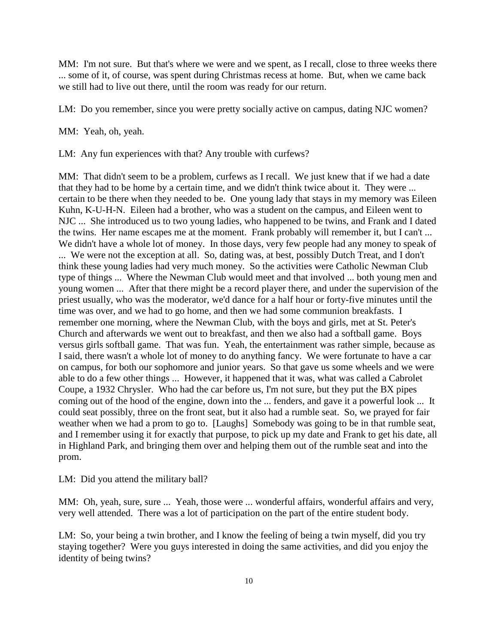MM: I'm not sure. But that's where we were and we spent, as I recall, close to three weeks there ... some of it, of course, was spent during Christmas recess at home. But, when we came back we still had to live out there, until the room was ready for our return.

LM: Do you remember, since you were pretty socially active on campus, dating NJC women?

MM: Yeah, oh, yeah.

LM: Any fun experiences with that? Any trouble with curfews?

MM: That didn't seem to be a problem, curfews as I recall. We just knew that if we had a date that they had to be home by a certain time, and we didn't think twice about it. They were ... certain to be there when they needed to be. One young lady that stays in my memory was Eileen Kuhn, K-U-H-N. Eileen had a brother, who was a student on the campus, and Eileen went to NJC ... She introduced us to two young ladies, who happened to be twins, and Frank and I dated the twins. Her name escapes me at the moment. Frank probably will remember it, but I can't ... We didn't have a whole lot of money. In those days, very few people had any money to speak of ... We were not the exception at all. So, dating was, at best, possibly Dutch Treat, and I don't think these young ladies had very much money. So the activities were Catholic Newman Club type of things ... Where the Newman Club would meet and that involved ... both young men and young women ... After that there might be a record player there, and under the supervision of the priest usually, who was the moderator, we'd dance for a half hour or forty-five minutes until the time was over, and we had to go home, and then we had some communion breakfasts. I remember one morning, where the Newman Club, with the boys and girls, met at St. Peter's Church and afterwards we went out to breakfast, and then we also had a softball game. Boys versus girls softball game. That was fun. Yeah, the entertainment was rather simple, because as I said, there wasn't a whole lot of money to do anything fancy. We were fortunate to have a car on campus, for both our sophomore and junior years. So that gave us some wheels and we were able to do a few other things ... However, it happened that it was, what was called a Cabrolet Coupe, a 1932 Chrysler. Who had the car before us, I'm not sure, but they put the BX pipes coming out of the hood of the engine, down into the ... fenders, and gave it a powerful look ... It could seat possibly, three on the front seat, but it also had a rumble seat. So, we prayed for fair weather when we had a prom to go to. [Laughs] Somebody was going to be in that rumble seat, and I remember using it for exactly that purpose, to pick up my date and Frank to get his date, all in Highland Park, and bringing them over and helping them out of the rumble seat and into the prom.

LM: Did you attend the military ball?

MM: Oh, yeah, sure, sure ... Yeah, those were ... wonderful affairs, wonderful affairs and very, very well attended. There was a lot of participation on the part of the entire student body.

LM: So, your being a twin brother, and I know the feeling of being a twin myself, did you try staying together? Were you guys interested in doing the same activities, and did you enjoy the identity of being twins?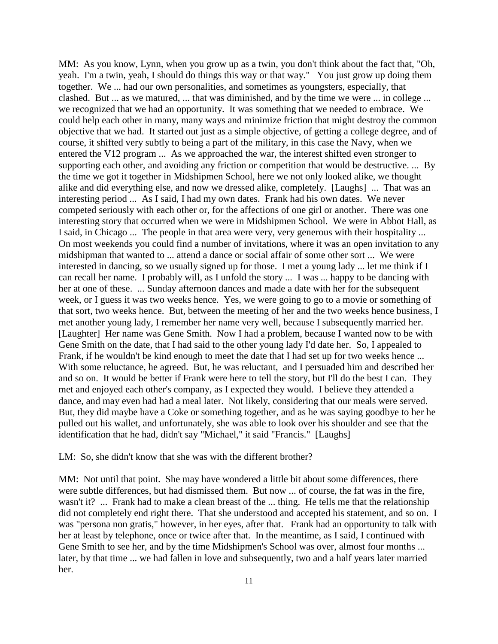MM: As you know, Lynn, when you grow up as a twin, you don't think about the fact that, "Oh, yeah. I'm a twin, yeah, I should do things this way or that way." You just grow up doing them together. We ... had our own personalities, and sometimes as youngsters, especially, that clashed. But ... as we matured, ... that was diminished, and by the time we were ... in college ... we recognized that we had an opportunity. It was something that we needed to embrace. We could help each other in many, many ways and minimize friction that might destroy the common objective that we had. It started out just as a simple objective, of getting a college degree, and of course, it shifted very subtly to being a part of the military, in this case the Navy, when we entered the V12 program ... As we approached the war, the interest shifted even stronger to supporting each other, and avoiding any friction or competition that would be destructive. ... By the time we got it together in Midshipmen School, here we not only looked alike, we thought alike and did everything else, and now we dressed alike, completely. [Laughs] ... That was an interesting period ... As I said, I had my own dates. Frank had his own dates. We never competed seriously with each other or, for the affections of one girl or another. There was one interesting story that occurred when we were in Midshipmen School. We were in Abbot Hall, as I said, in Chicago ... The people in that area were very, very generous with their hospitality ... On most weekends you could find a number of invitations, where it was an open invitation to any midshipman that wanted to ... attend a dance or social affair of some other sort ... We were interested in dancing, so we usually signed up for those. I met a young lady ... let me think if I can recall her name. I probably will, as I unfold the story ... I was ... happy to be dancing with her at one of these. ... Sunday afternoon dances and made a date with her for the subsequent week, or I guess it was two weeks hence. Yes, we were going to go to a movie or something of that sort, two weeks hence. But, between the meeting of her and the two weeks hence business, I met another young lady, I remember her name very well, because I subsequently married her. [Laughter] Her name was Gene Smith. Now I had a problem, because I wanted now to be with Gene Smith on the date, that I had said to the other young lady I'd date her. So, I appealed to Frank, if he wouldn't be kind enough to meet the date that I had set up for two weeks hence ... With some reluctance, he agreed. But, he was reluctant, and I persuaded him and described her and so on. It would be better if Frank were here to tell the story, but I'll do the best I can. They met and enjoyed each other's company, as I expected they would. I believe they attended a dance, and may even had had a meal later. Not likely, considering that our meals were served. But, they did maybe have a Coke or something together, and as he was saying goodbye to her he pulled out his wallet, and unfortunately, she was able to look over his shoulder and see that the identification that he had, didn't say "Michael," it said "Francis." [Laughs]

LM: So, she didn't know that she was with the different brother?

MM: Not until that point. She may have wondered a little bit about some differences, there were subtle differences, but had dismissed them. But now ... of course, the fat was in the fire, wasn't it? ... Frank had to make a clean breast of the ... thing. He tells me that the relationship did not completely end right there. That she understood and accepted his statement, and so on. I was "persona non gratis," however, in her eyes, after that. Frank had an opportunity to talk with her at least by telephone, once or twice after that. In the meantime, as I said, I continued with Gene Smith to see her, and by the time Midshipmen's School was over, almost four months ... later, by that time ... we had fallen in love and subsequently, two and a half years later married her.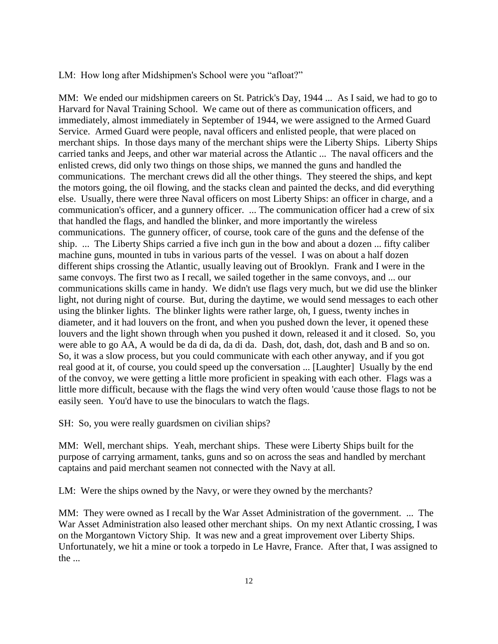LM: How long after Midshipmen's School were you "afloat?"

MM: We ended our midshipmen careers on St. Patrick's Day, 1944 ... As I said, we had to go to Harvard for Naval Training School. We came out of there as communication officers, and immediately, almost immediately in September of 1944, we were assigned to the Armed Guard Service. Armed Guard were people, naval officers and enlisted people, that were placed on merchant ships. In those days many of the merchant ships were the Liberty Ships. Liberty Ships carried tanks and Jeeps, and other war material across the Atlantic ... The naval officers and the enlisted crews, did only two things on those ships, we manned the guns and handled the communications. The merchant crews did all the other things. They steered the ships, and kept the motors going, the oil flowing, and the stacks clean and painted the decks, and did everything else. Usually, there were three Naval officers on most Liberty Ships: an officer in charge, and a communication's officer, and a gunnery officer. ... The communication officer had a crew of six that handled the flags, and handled the blinker, and more importantly the wireless communications. The gunnery officer, of course, took care of the guns and the defense of the ship. ... The Liberty Ships carried a five inch gun in the bow and about a dozen ... fifty caliber machine guns, mounted in tubs in various parts of the vessel. I was on about a half dozen different ships crossing the Atlantic, usually leaving out of Brooklyn. Frank and I were in the same convoys. The first two as I recall, we sailed together in the same convoys, and ... our communications skills came in handy. We didn't use flags very much, but we did use the blinker light, not during night of course. But, during the daytime, we would send messages to each other using the blinker lights. The blinker lights were rather large, oh, I guess, twenty inches in diameter, and it had louvers on the front, and when you pushed down the lever, it opened these louvers and the light shown through when you pushed it down, released it and it closed. So, you were able to go AA, A would be da di da, da di da. Dash, dot, dash, dot, dash and B and so on. So, it was a slow process, but you could communicate with each other anyway, and if you got real good at it, of course, you could speed up the conversation ... [Laughter] Usually by the end of the convoy, we were getting a little more proficient in speaking with each other. Flags was a little more difficult, because with the flags the wind very often would 'cause those flags to not be easily seen. You'd have to use the binoculars to watch the flags.

SH: So, you were really guardsmen on civilian ships?

MM: Well, merchant ships. Yeah, merchant ships. These were Liberty Ships built for the purpose of carrying armament, tanks, guns and so on across the seas and handled by merchant captains and paid merchant seamen not connected with the Navy at all.

LM: Were the ships owned by the Navy, or were they owned by the merchants?

MM: They were owned as I recall by the War Asset Administration of the government. ... The War Asset Administration also leased other merchant ships. On my next Atlantic crossing, I was on the Morgantown Victory Ship. It was new and a great improvement over Liberty Ships. Unfortunately, we hit a mine or took a torpedo in Le Havre, France. After that, I was assigned to the ...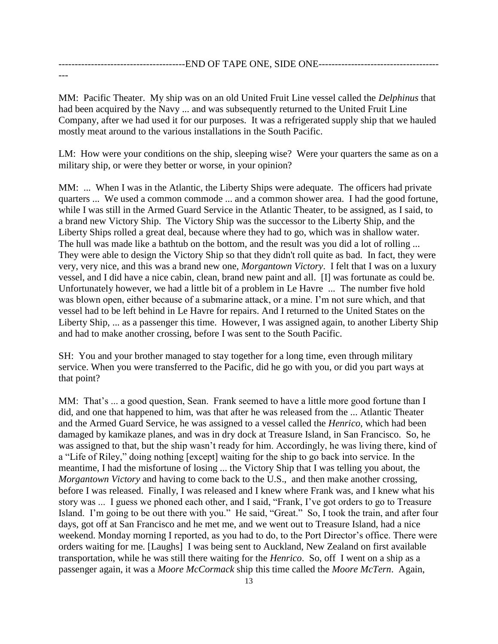---------------------------------------END OF TAPE ONE, SIDE ONE------------------------------------- ---

MM: Pacific Theater. My ship was on an old United Fruit Line vessel called the *Delphinus* that had been acquired by the Navy ... and was subsequently returned to the United Fruit Line Company, after we had used it for our purposes. It was a refrigerated supply ship that we hauled mostly meat around to the various installations in the South Pacific.

LM: How were your conditions on the ship, sleeping wise? Were your quarters the same as on a military ship, or were they better or worse, in your opinion?

MM: ... When I was in the Atlantic, the Liberty Ships were adequate. The officers had private quarters ... We used a common commode ... and a common shower area. I had the good fortune, while I was still in the Armed Guard Service in the Atlantic Theater, to be assigned, as I said, to a brand new Victory Ship. The Victory Ship was the successor to the Liberty Ship, and the Liberty Ships rolled a great deal, because where they had to go, which was in shallow water. The hull was made like a bathtub on the bottom, and the result was you did a lot of rolling ... They were able to design the Victory Ship so that they didn't roll quite as bad. In fact, they were very, very nice, and this was a brand new one, *Morgantown Victory*. I felt that I was on a luxury vessel, and I did have a nice cabin, clean, brand new paint and all. [I] was fortunate as could be. Unfortunately however, we had a little bit of a problem in Le Havre ... The number five hold was blown open, either because of a submarine attack, or a mine. I'm not sure which, and that vessel had to be left behind in Le Havre for repairs. And I returned to the United States on the Liberty Ship, ... as a passenger this time. However, I was assigned again, to another Liberty Ship and had to make another crossing, before I was sent to the South Pacific.

SH: You and your brother managed to stay together for a long time, even through military service. When you were transferred to the Pacific, did he go with you, or did you part ways at that point?

MM: That's ... a good question, Sean. Frank seemed to have a little more good fortune than I did, and one that happened to him, was that after he was released from the ... Atlantic Theater and the Armed Guard Service, he was assigned to a vessel called the *Henrico*, which had been damaged by kamikaze planes, and was in dry dock at Treasure Island, in San Francisco. So, he was assigned to that, but the ship wasn't ready for him. Accordingly, he was living there, kind of a "Life of Riley," doing nothing [except] waiting for the ship to go back into service. In the meantime, I had the misfortune of losing ... the Victory Ship that I was telling you about, the *Morgantown Victory* and having to come back to the U.S., and then make another crossing, before I was released. Finally, I was released and I knew where Frank was, and I knew what his story was ... I guess we phoned each other, and I said, "Frank, I've got orders to go to Treasure Island. I'm going to be out there with you." He said, "Great." So, I took the train, and after four days, got off at San Francisco and he met me, and we went out to Treasure Island, had a nice weekend. Monday morning I reported, as you had to do, to the Port Director's office. There were orders waiting for me. [Laughs] I was being sent to Auckland, New Zealand on first available transportation, while he was still there waiting for the *Henrico*. So, off I went on a ship as a passenger again, it was a *Moore McCormack* ship this time called the *Moore McTern*. Again,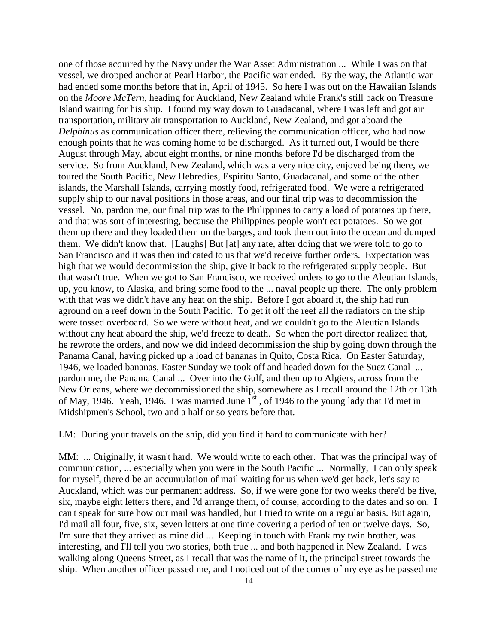one of those acquired by the Navy under the War Asset Administration ... While I was on that vessel, we dropped anchor at Pearl Harbor, the Pacific war ended. By the way, the Atlantic war had ended some months before that in, April of 1945. So here I was out on the Hawaiian Islands on the *Moore McTern*, heading for Auckland, New Zealand while Frank's still back on Treasure Island waiting for his ship. I found my way down to Guadacanal, where I was left and got air transportation, military air transportation to Auckland, New Zealand, and got aboard the *Delphinus* as communication officer there, relieving the communication officer, who had now enough points that he was coming home to be discharged. As it turned out, I would be there August through May, about eight months, or nine months before I'd be discharged from the service. So from Auckland, New Zealand, which was a very nice city, enjoyed being there, we toured the South Pacific, New Hebredies, Espiritu Santo, Guadacanal, and some of the other islands, the Marshall Islands, carrying mostly food, refrigerated food. We were a refrigerated supply ship to our naval positions in those areas, and our final trip was to decommission the vessel. No, pardon me, our final trip was to the Philippines to carry a load of potatoes up there, and that was sort of interesting, because the Philippines people won't eat potatoes. So we got them up there and they loaded them on the barges, and took them out into the ocean and dumped them. We didn't know that. [Laughs] But [at] any rate, after doing that we were told to go to San Francisco and it was then indicated to us that we'd receive further orders. Expectation was high that we would decommission the ship, give it back to the refrigerated supply people. But that wasn't true. When we got to San Francisco, we received orders to go to the Aleutian Islands, up, you know, to Alaska, and bring some food to the ... naval people up there. The only problem with that was we didn't have any heat on the ship. Before I got aboard it, the ship had run aground on a reef down in the South Pacific. To get it off the reef all the radiators on the ship were tossed overboard. So we were without heat, and we couldn't go to the Aleutian Islands without any heat aboard the ship, we'd freeze to death. So when the port director realized that, he rewrote the orders, and now we did indeed decommission the ship by going down through the Panama Canal, having picked up a load of bananas in Quito, Costa Rica. On Easter Saturday, 1946, we loaded bananas, Easter Sunday we took off and headed down for the Suez Canal ... pardon me, the Panama Canal ... Over into the Gulf, and then up to Algiers, across from the New Orleans, where we decommissioned the ship, somewhere as I recall around the 12th or 13th of May, 1946. Yeah, 1946. I was married June  $1<sup>st</sup>$ , of 1946 to the young lady that I'd met in Midshipmen's School, two and a half or so years before that.

LM: During your travels on the ship, did you find it hard to communicate with her?

MM: ... Originally, it wasn't hard. We would write to each other. That was the principal way of communication, ... especially when you were in the South Pacific ... Normally, I can only speak for myself, there'd be an accumulation of mail waiting for us when we'd get back, let's say to Auckland, which was our permanent address. So, if we were gone for two weeks there'd be five, six, maybe eight letters there, and I'd arrange them, of course, according to the dates and so on. I can't speak for sure how our mail was handled, but I tried to write on a regular basis. But again, I'd mail all four, five, six, seven letters at one time covering a period of ten or twelve days. So, I'm sure that they arrived as mine did ... Keeping in touch with Frank my twin brother, was interesting, and I'll tell you two stories, both true ... and both happened in New Zealand. I was walking along Queens Street, as I recall that was the name of it, the principal street towards the ship. When another officer passed me, and I noticed out of the corner of my eye as he passed me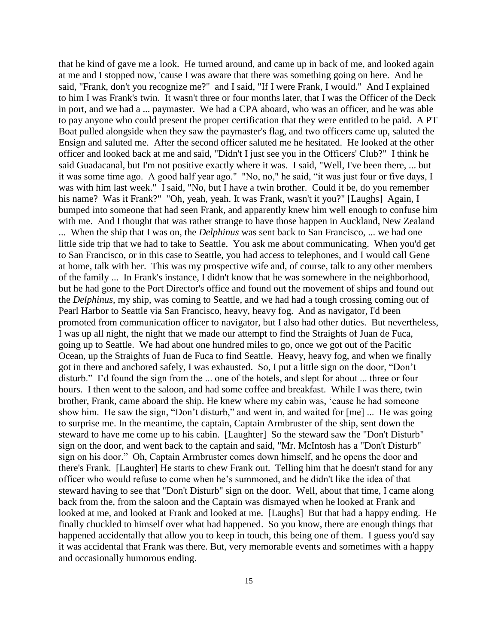that he kind of gave me a look. He turned around, and came up in back of me, and looked again at me and I stopped now, 'cause I was aware that there was something going on here. And he said, "Frank, don't you recognize me?" and I said, "If I were Frank, I would." And I explained to him I was Frank's twin. It wasn't three or four months later, that I was the Officer of the Deck in port, and we had a ... paymaster. We had a CPA aboard, who was an officer, and he was able to pay anyone who could present the proper certification that they were entitled to be paid. A PT Boat pulled alongside when they saw the paymaster's flag, and two officers came up, saluted the Ensign and saluted me. After the second officer saluted me he hesitated. He looked at the other officer and looked back at me and said, "Didn't I just see you in the Officers' Club?" I think he said Guadacanal, but I'm not positive exactly where it was. I said, "Well, I've been there, ... but it was some time ago. A good half year ago." "No, no," he said, "it was just four or five days, I was with him last week." I said, "No, but I have a twin brother. Could it be, do you remember his name? Was it Frank?" "Oh, yeah, yeah. It was Frank, wasn't it you?" [Laughs] Again, I bumped into someone that had seen Frank, and apparently knew him well enough to confuse him with me. And I thought that was rather strange to have those happen in Auckland, New Zealand ... When the ship that I was on, the *Delphinus* was sent back to San Francisco, ... we had one little side trip that we had to take to Seattle. You ask me about communicating. When you'd get to San Francisco, or in this case to Seattle, you had access to telephones, and I would call Gene at home, talk with her. This was my prospective wife and, of course, talk to any other members of the family ... In Frank's instance, I didn't know that he was somewhere in the neighborhood, but he had gone to the Port Director's office and found out the movement of ships and found out the *Delphinus*, my ship, was coming to Seattle, and we had had a tough crossing coming out of Pearl Harbor to Seattle via San Francisco, heavy, heavy fog. And as navigator, I'd been promoted from communication officer to navigator, but I also had other duties. But nevertheless, I was up all night, the night that we made our attempt to find the Straights of Juan de Fuca, going up to Seattle. We had about one hundred miles to go, once we got out of the Pacific Ocean, up the Straights of Juan de Fuca to find Seattle. Heavy, heavy fog, and when we finally got in there and anchored safely, I was exhausted. So, I put a little sign on the door, "Don't disturb." I'd found the sign from the ... one of the hotels, and slept for about ... three or four hours. I then went to the saloon, and had some coffee and breakfast. While I was there, twin brother, Frank, came aboard the ship. He knew where my cabin was, 'cause he had someone show him. He saw the sign, "Don't disturb," and went in, and waited for [me] ... He was going to surprise me. In the meantime, the captain, Captain Armbruster of the ship, sent down the steward to have me come up to his cabin. [Laughter] So the steward saw the "Don't Disturb" sign on the door, and went back to the captain and said, "Mr. McIntosh has a "Don't Disturb" sign on his door." Oh, Captain Armbruster comes down himself, and he opens the door and there's Frank. [Laughter] He starts to chew Frank out. Telling him that he doesn't stand for any officer who would refuse to come when he's summoned, and he didn't like the idea of that steward having to see that "Don't Disturb" sign on the door. Well, about that time, I came along back from the, from the saloon and the Captain was dismayed when he looked at Frank and looked at me, and looked at Frank and looked at me. [Laughs] But that had a happy ending. He finally chuckled to himself over what had happened. So you know, there are enough things that happened accidentally that allow you to keep in touch, this being one of them. I guess you'd say it was accidental that Frank was there. But, very memorable events and sometimes with a happy and occasionally humorous ending.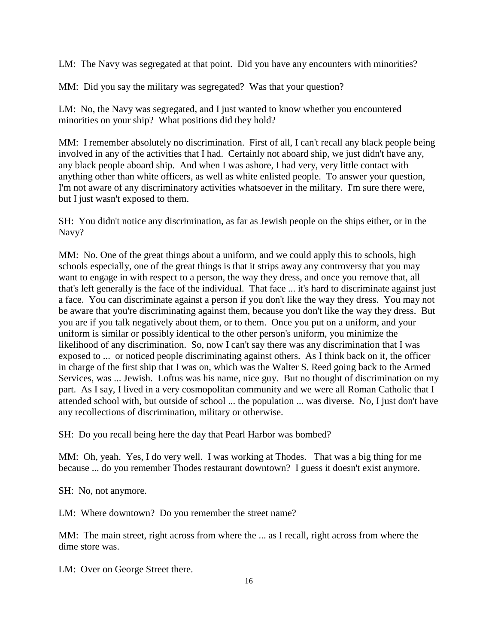LM: The Navy was segregated at that point. Did you have any encounters with minorities?

MM: Did you say the military was segregated? Was that your question?

LM: No, the Navy was segregated, and I just wanted to know whether you encountered minorities on your ship? What positions did they hold?

MM: I remember absolutely no discrimination. First of all, I can't recall any black people being involved in any of the activities that I had. Certainly not aboard ship, we just didn't have any, any black people aboard ship. And when I was ashore, I had very, very little contact with anything other than white officers, as well as white enlisted people. To answer your question, I'm not aware of any discriminatory activities whatsoever in the military. I'm sure there were, but I just wasn't exposed to them.

SH: You didn't notice any discrimination, as far as Jewish people on the ships either, or in the Navy?

MM: No. One of the great things about a uniform, and we could apply this to schools, high schools especially, one of the great things is that it strips away any controversy that you may want to engage in with respect to a person, the way they dress, and once you remove that, all that's left generally is the face of the individual. That face ... it's hard to discriminate against just a face. You can discriminate against a person if you don't like the way they dress. You may not be aware that you're discriminating against them, because you don't like the way they dress. But you are if you talk negatively about them, or to them. Once you put on a uniform, and your uniform is similar or possibly identical to the other person's uniform, you minimize the likelihood of any discrimination. So, now I can't say there was any discrimination that I was exposed to ... or noticed people discriminating against others. As I think back on it, the officer in charge of the first ship that I was on, which was the Walter S. Reed going back to the Armed Services, was ... Jewish. Loftus was his name, nice guy. But no thought of discrimination on my part. As I say, I lived in a very cosmopolitan community and we were all Roman Catholic that I attended school with, but outside of school ... the population ... was diverse. No, I just don't have any recollections of discrimination, military or otherwise.

SH: Do you recall being here the day that Pearl Harbor was bombed?

MM: Oh, yeah. Yes, I do very well. I was working at Thodes. That was a big thing for me because ... do you remember Thodes restaurant downtown? I guess it doesn't exist anymore.

SH: No, not anymore.

LM: Where downtown? Do you remember the street name?

MM: The main street, right across from where the ... as I recall, right across from where the dime store was.

LM: Over on George Street there.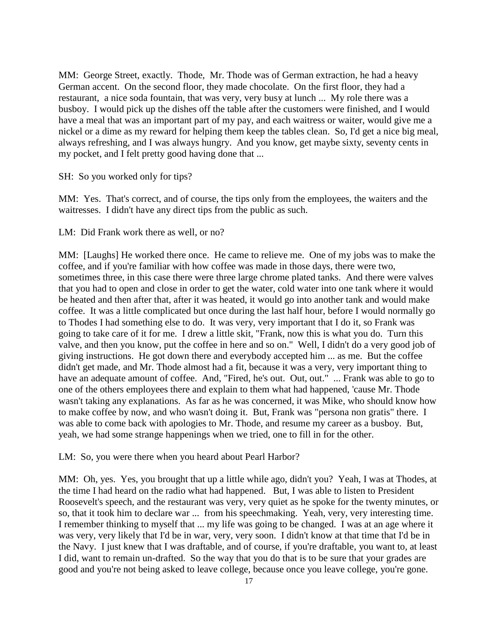MM: George Street, exactly. Thode, Mr. Thode was of German extraction, he had a heavy German accent. On the second floor, they made chocolate. On the first floor, they had a restaurant, a nice soda fountain, that was very, very busy at lunch ... My role there was a busboy. I would pick up the dishes off the table after the customers were finished, and I would have a meal that was an important part of my pay, and each waitress or waiter, would give me a nickel or a dime as my reward for helping them keep the tables clean. So, I'd get a nice big meal, always refreshing, and I was always hungry. And you know, get maybe sixty, seventy cents in my pocket, and I felt pretty good having done that ...

SH: So you worked only for tips?

MM: Yes. That's correct, and of course, the tips only from the employees, the waiters and the waitresses. I didn't have any direct tips from the public as such.

LM: Did Frank work there as well, or no?

MM: [Laughs] He worked there once. He came to relieve me. One of my jobs was to make the coffee, and if you're familiar with how coffee was made in those days, there were two, sometimes three, in this case there were three large chrome plated tanks. And there were valves that you had to open and close in order to get the water, cold water into one tank where it would be heated and then after that, after it was heated, it would go into another tank and would make coffee. It was a little complicated but once during the last half hour, before I would normally go to Thodes I had something else to do. It was very, very important that I do it, so Frank was going to take care of it for me. I drew a little skit, "Frank, now this is what you do. Turn this valve, and then you know, put the coffee in here and so on." Well, I didn't do a very good job of giving instructions. He got down there and everybody accepted him ... as me. But the coffee didn't get made, and Mr. Thode almost had a fit, because it was a very, very important thing to have an adequate amount of coffee. And, "Fired, he's out. Out, out." ... Frank was able to go to one of the others employees there and explain to them what had happened, 'cause Mr. Thode wasn't taking any explanations. As far as he was concerned, it was Mike, who should know how to make coffee by now, and who wasn't doing it. But, Frank was "persona non gratis" there. I was able to come back with apologies to Mr. Thode, and resume my career as a busboy. But, yeah, we had some strange happenings when we tried, one to fill in for the other.

LM: So, you were there when you heard about Pearl Harbor?

MM: Oh, yes. Yes, you brought that up a little while ago, didn't you? Yeah, I was at Thodes, at the time I had heard on the radio what had happened. But, I was able to listen to President Roosevelt's speech, and the restaurant was very, very quiet as he spoke for the twenty minutes, or so, that it took him to declare war ... from his speechmaking. Yeah, very, very interesting time. I remember thinking to myself that ... my life was going to be changed. I was at an age where it was very, very likely that I'd be in war, very, very soon. I didn't know at that time that I'd be in the Navy. I just knew that I was draftable, and of course, if you're draftable, you want to, at least I did, want to remain un-drafted. So the way that you do that is to be sure that your grades are good and you're not being asked to leave college, because once you leave college, you're gone.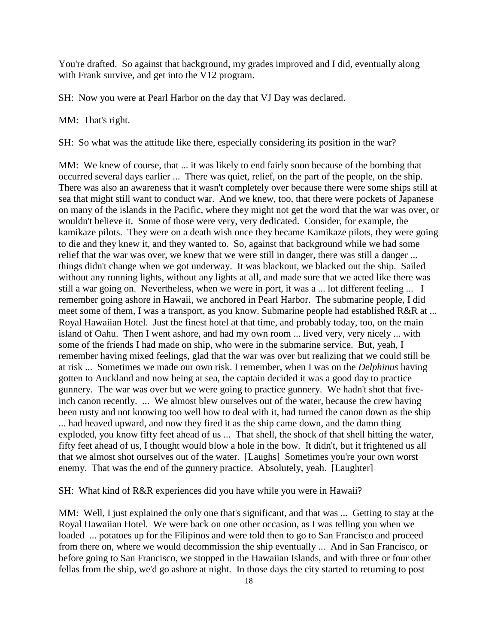You're drafted. So against that background, my grades improved and I did, eventually along with Frank survive, and get into the V12 program.

SH: Now you were at Pearl Harbor on the day that VJ Day was declared.

MM: That's right.

SH: So what was the attitude like there, especially considering its position in the war?

MM: We knew of course, that ... it was likely to end fairly soon because of the bombing that occurred several days earlier ... There was quiet, relief, on the part of the people, on the ship. There was also an awareness that it wasn't completely over because there were some ships still at sea that might still want to conduct war. And we knew, too, that there were pockets of Japanese on many of the islands in the Pacific, where they might not get the word that the war was over, or wouldn't believe it. Some of those were very, very dedicated. Consider, for example, the kamikaze pilots. They were on a death wish once they became Kamikaze pilots, they were going to die and they knew it, and they wanted to. So, against that background while we had some relief that the war was over, we knew that we were still in danger, there was still a danger ... things didn't change when we got underway. It was blackout, we blacked out the ship. Sailed without any running lights, without any lights at all, and made sure that we acted like there was still a war going on. Nevertheless, when we were in port, it was a ... lot different feeling ... I remember going ashore in Hawaii, we anchored in Pearl Harbor. The submarine people, I did meet some of them, I was a transport, as you know. Submarine people had established R&R at ... Royal Hawaiian Hotel. Just the finest hotel at that time, and probably today, too, on the main island of Oahu. Then I went ashore, and had my own room ... lived very, very nicely ... with some of the friends I had made on ship, who were in the submarine service. But, yeah, I remember having mixed feelings, glad that the war was over but realizing that we could still be at risk ... Sometimes we made our own risk. I remember, when I was on the *Delphinus* having gotten to Auckland and now being at sea, the captain decided it was a good day to practice gunnery. The war was over but we were going to practice gunnery. We hadn't shot that fiveinch canon recently. ... We almost blew ourselves out of the water, because the crew having been rusty and not knowing too well how to deal with it, had turned the canon down as the ship ... had heaved upward, and now they fired it as the ship came down, and the damn thing exploded, you know fifty feet ahead of us ... That shell, the shock of that shell hitting the water, fifty feet ahead of us, I thought would blow a hole in the bow. It didn't, but it frightened us all that we almost shot ourselves out of the water. [Laughs] Sometimes you're your own worst enemy. That was the end of the gunnery practice. Absolutely, yeah. [Laughter]

SH: What kind of R&R experiences did you have while you were in Hawaii?

MM: Well, I just explained the only one that's significant, and that was ... Getting to stay at the Royal Hawaiian Hotel. We were back on one other occasion, as I was telling you when we loaded ... potatoes up for the Filipinos and were told then to go to San Francisco and proceed from there on, where we would decommission the ship eventually ... And in San Francisco, or before going to San Francisco, we stopped in the Hawaiian Islands, and with three or four other fellas from the ship, we'd go ashore at night. In those days the city started to returning to post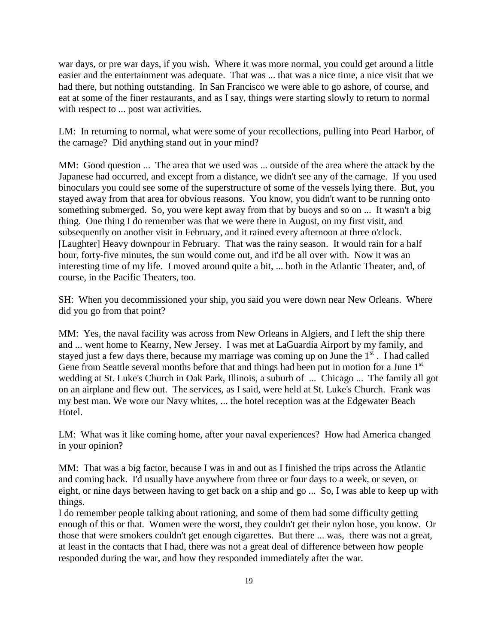war days, or pre war days, if you wish. Where it was more normal, you could get around a little easier and the entertainment was adequate. That was ... that was a nice time, a nice visit that we had there, but nothing outstanding. In San Francisco we were able to go ashore, of course, and eat at some of the finer restaurants, and as I say, things were starting slowly to return to normal with respect to ... post war activities.

LM: In returning to normal, what were some of your recollections, pulling into Pearl Harbor, of the carnage? Did anything stand out in your mind?

MM: Good question ... The area that we used was ... outside of the area where the attack by the Japanese had occurred, and except from a distance, we didn't see any of the carnage. If you used binoculars you could see some of the superstructure of some of the vessels lying there. But, you stayed away from that area for obvious reasons. You know, you didn't want to be running onto something submerged. So, you were kept away from that by buoys and so on ... It wasn't a big thing. One thing I do remember was that we were there in August, on my first visit, and subsequently on another visit in February, and it rained every afternoon at three o'clock. [Laughter] Heavy downpour in February. That was the rainy season. It would rain for a half hour, forty-five minutes, the sun would come out, and it'd be all over with. Now it was an interesting time of my life. I moved around quite a bit, ... both in the Atlantic Theater, and, of course, in the Pacific Theaters, too.

SH: When you decommissioned your ship, you said you were down near New Orleans. Where did you go from that point?

MM: Yes, the naval facility was across from New Orleans in Algiers, and I left the ship there and ... went home to Kearny, New Jersey. I was met at LaGuardia Airport by my family, and stayed just a few days there, because my marriage was coming up on June the  $1<sup>st</sup>$ . I had called Gene from Seattle several months before that and things had been put in motion for a June  $1<sup>st</sup>$ wedding at St. Luke's Church in Oak Park, Illinois, a suburb of ... Chicago ... The family all got on an airplane and flew out. The services, as I said, were held at St. Luke's Church. Frank was my best man. We wore our Navy whites, ... the hotel reception was at the Edgewater Beach Hotel.

LM: What was it like coming home, after your naval experiences? How had America changed in your opinion?

MM: That was a big factor, because I was in and out as I finished the trips across the Atlantic and coming back. I'd usually have anywhere from three or four days to a week, or seven, or eight, or nine days between having to get back on a ship and go ... So, I was able to keep up with things.

I do remember people talking about rationing, and some of them had some difficulty getting enough of this or that. Women were the worst, they couldn't get their nylon hose, you know. Or those that were smokers couldn't get enough cigarettes. But there ... was, there was not a great, at least in the contacts that I had, there was not a great deal of difference between how people responded during the war, and how they responded immediately after the war.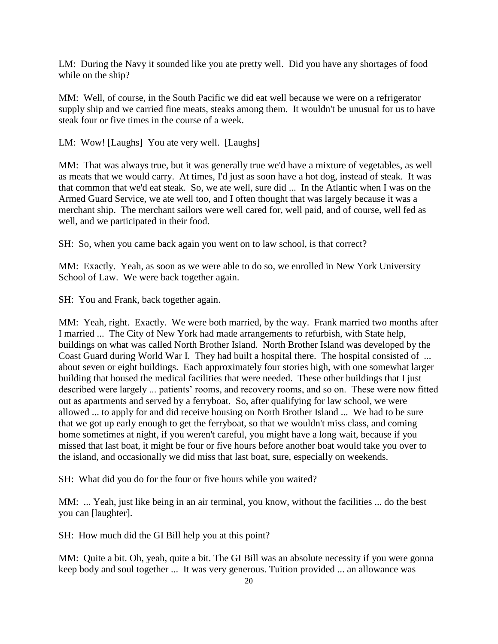LM: During the Navy it sounded like you ate pretty well. Did you have any shortages of food while on the ship?

MM: Well, of course, in the South Pacific we did eat well because we were on a refrigerator supply ship and we carried fine meats, steaks among them. It wouldn't be unusual for us to have steak four or five times in the course of a week.

LM: Wow! [Laughs] You ate very well. [Laughs]

MM: That was always true, but it was generally true we'd have a mixture of vegetables, as well as meats that we would carry. At times, I'd just as soon have a hot dog, instead of steak. It was that common that we'd eat steak. So, we ate well, sure did ... In the Atlantic when I was on the Armed Guard Service, we ate well too, and I often thought that was largely because it was a merchant ship. The merchant sailors were well cared for, well paid, and of course, well fed as well, and we participated in their food.

SH: So, when you came back again you went on to law school, is that correct?

MM: Exactly. Yeah, as soon as we were able to do so, we enrolled in New York University School of Law. We were back together again.

SH: You and Frank, back together again.

MM: Yeah, right. Exactly. We were both married, by the way. Frank married two months after I married ... The City of New York had made arrangements to refurbish, with State help, buildings on what was called North Brother Island. North Brother Island was developed by the Coast Guard during World War I. They had built a hospital there. The hospital consisted of ... about seven or eight buildings. Each approximately four stories high, with one somewhat larger building that housed the medical facilities that were needed. These other buildings that I just described were largely ... patients' rooms, and recovery rooms, and so on. These were now fitted out as apartments and served by a ferryboat. So, after qualifying for law school, we were allowed ... to apply for and did receive housing on North Brother Island ... We had to be sure that we got up early enough to get the ferryboat, so that we wouldn't miss class, and coming home sometimes at night, if you weren't careful, you might have a long wait, because if you missed that last boat, it might be four or five hours before another boat would take you over to the island, and occasionally we did miss that last boat, sure, especially on weekends.

SH: What did you do for the four or five hours while you waited?

MM: ... Yeah, just like being in an air terminal, you know, without the facilities ... do the best you can [laughter].

SH: How much did the GI Bill help you at this point?

MM: Quite a bit. Oh, yeah, quite a bit. The GI Bill was an absolute necessity if you were gonna keep body and soul together ... It was very generous. Tuition provided ... an allowance was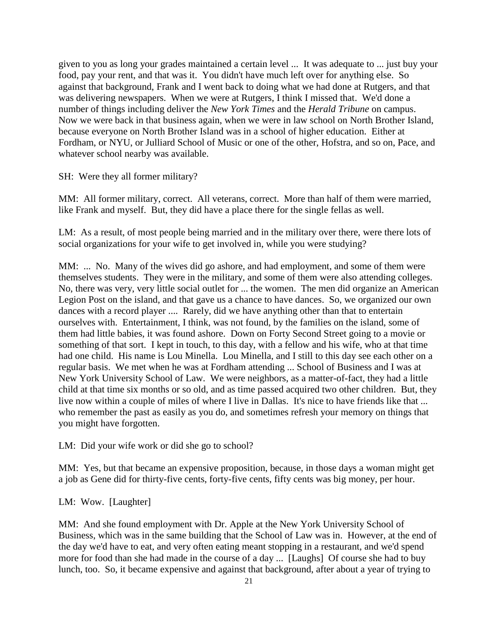given to you as long your grades maintained a certain level ... It was adequate to ... just buy your food, pay your rent, and that was it. You didn't have much left over for anything else. So against that background, Frank and I went back to doing what we had done at Rutgers, and that was delivering newspapers. When we were at Rutgers, I think I missed that. We'd done a number of things including deliver the *New York Times* and the *Herald Tribune* on campus. Now we were back in that business again, when we were in law school on North Brother Island, because everyone on North Brother Island was in a school of higher education. Either at Fordham, or NYU, or Julliard School of Music or one of the other, Hofstra, and so on, Pace, and whatever school nearby was available.

SH: Were they all former military?

MM: All former military, correct. All veterans, correct. More than half of them were married, like Frank and myself. But, they did have a place there for the single fellas as well.

LM: As a result, of most people being married and in the military over there, were there lots of social organizations for your wife to get involved in, while you were studying?

MM: ... No. Many of the wives did go ashore, and had employment, and some of them were themselves students. They were in the military, and some of them were also attending colleges. No, there was very, very little social outlet for ... the women. The men did organize an American Legion Post on the island, and that gave us a chance to have dances. So, we organized our own dances with a record player .... Rarely, did we have anything other than that to entertain ourselves with. Entertainment, I think, was not found, by the families on the island, some of them had little babies, it was found ashore. Down on Forty Second Street going to a movie or something of that sort. I kept in touch, to this day, with a fellow and his wife, who at that time had one child. His name is Lou Minella. Lou Minella, and I still to this day see each other on a regular basis. We met when he was at Fordham attending ... School of Business and I was at New York University School of Law. We were neighbors, as a matter-of-fact, they had a little child at that time six months or so old, and as time passed acquired two other children. But, they live now within a couple of miles of where I live in Dallas. It's nice to have friends like that ... who remember the past as easily as you do, and sometimes refresh your memory on things that you might have forgotten.

LM: Did your wife work or did she go to school?

MM: Yes, but that became an expensive proposition, because, in those days a woman might get a job as Gene did for thirty-five cents, forty-five cents, fifty cents was big money, per hour.

LM: Wow. [Laughter]

MM: And she found employment with Dr. Apple at the New York University School of Business, which was in the same building that the School of Law was in. However, at the end of the day we'd have to eat, and very often eating meant stopping in a restaurant, and we'd spend more for food than she had made in the course of a day ... [Laughs] Of course she had to buy lunch, too. So, it became expensive and against that background, after about a year of trying to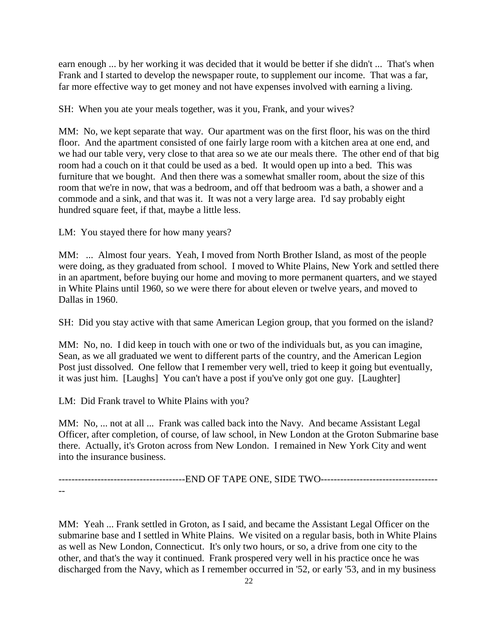earn enough ... by her working it was decided that it would be better if she didn't ... That's when Frank and I started to develop the newspaper route, to supplement our income. That was a far, far more effective way to get money and not have expenses involved with earning a living.

SH: When you ate your meals together, was it you, Frank, and your wives?

MM: No, we kept separate that way. Our apartment was on the first floor, his was on the third floor. And the apartment consisted of one fairly large room with a kitchen area at one end, and we had our table very, very close to that area so we ate our meals there. The other end of that big room had a couch on it that could be used as a bed. It would open up into a bed. This was furniture that we bought. And then there was a somewhat smaller room, about the size of this room that we're in now, that was a bedroom, and off that bedroom was a bath, a shower and a commode and a sink, and that was it. It was not a very large area. I'd say probably eight hundred square feet, if that, maybe a little less.

LM: You stayed there for how many years?

MM: ... Almost four years. Yeah, I moved from North Brother Island, as most of the people were doing, as they graduated from school. I moved to White Plains, New York and settled there in an apartment, before buying our home and moving to more permanent quarters, and we stayed in White Plains until 1960, so we were there for about eleven or twelve years, and moved to Dallas in 1960.

SH: Did you stay active with that same American Legion group, that you formed on the island?

MM: No, no. I did keep in touch with one or two of the individuals but, as you can imagine, Sean, as we all graduated we went to different parts of the country, and the American Legion Post just dissolved. One fellow that I remember very well, tried to keep it going but eventually, it was just him. [Laughs] You can't have a post if you've only got one guy. [Laughter]

LM: Did Frank travel to White Plains with you?

MM: No, ... not at all ... Frank was called back into the Navy. And became Assistant Legal Officer, after completion, of course, of law school, in New London at the Groton Submarine base there. Actually, it's Groton across from New London. I remained in New York City and went into the insurance business.

---------------------------------------END OF TAPE ONE, SIDE TWO------------------------------------

--

MM: Yeah ... Frank settled in Groton, as I said, and became the Assistant Legal Officer on the submarine base and I settled in White Plains. We visited on a regular basis, both in White Plains as well as New London, Connecticut. It's only two hours, or so, a drive from one city to the other, and that's the way it continued. Frank prospered very well in his practice once he was discharged from the Navy, which as I remember occurred in '52, or early '53, and in my business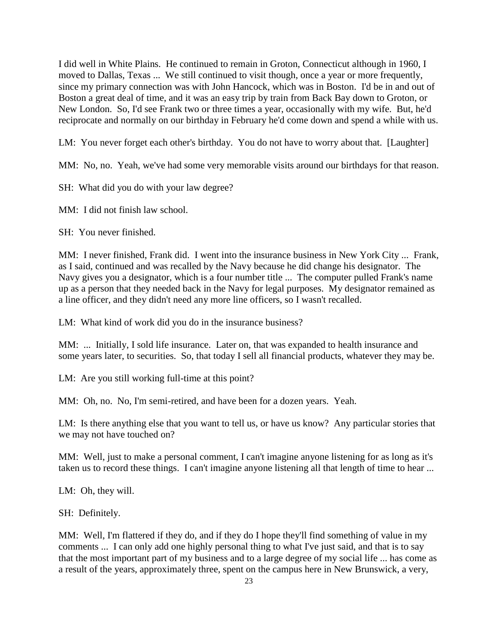I did well in White Plains. He continued to remain in Groton, Connecticut although in 1960, I moved to Dallas, Texas ... We still continued to visit though, once a year or more frequently, since my primary connection was with John Hancock, which was in Boston. I'd be in and out of Boston a great deal of time, and it was an easy trip by train from Back Bay down to Groton, or New London. So, I'd see Frank two or three times a year, occasionally with my wife. But, he'd reciprocate and normally on our birthday in February he'd come down and spend a while with us.

LM: You never forget each other's birthday. You do not have to worry about that. [Laughter]

MM: No, no. Yeah, we've had some very memorable visits around our birthdays for that reason.

SH: What did you do with your law degree?

MM: I did not finish law school.

SH: You never finished.

MM: I never finished, Frank did. I went into the insurance business in New York City ... Frank, as I said, continued and was recalled by the Navy because he did change his designator. The Navy gives you a designator, which is a four number title ... The computer pulled Frank's name up as a person that they needed back in the Navy for legal purposes. My designator remained as a line officer, and they didn't need any more line officers, so I wasn't recalled.

LM: What kind of work did you do in the insurance business?

MM: ... Initially, I sold life insurance. Later on, that was expanded to health insurance and some years later, to securities. So, that today I sell all financial products, whatever they may be.

LM: Are you still working full-time at this point?

MM: Oh, no. No, I'm semi-retired, and have been for a dozen years. Yeah.

LM: Is there anything else that you want to tell us, or have us know? Any particular stories that we may not have touched on?

MM: Well, just to make a personal comment, I can't imagine anyone listening for as long as it's taken us to record these things. I can't imagine anyone listening all that length of time to hear ...

LM: Oh, they will.

SH: Definitely.

MM: Well, I'm flattered if they do, and if they do I hope they'll find something of value in my comments ... I can only add one highly personal thing to what I've just said, and that is to say that the most important part of my business and to a large degree of my social life ... has come as a result of the years, approximately three, spent on the campus here in New Brunswick, a very,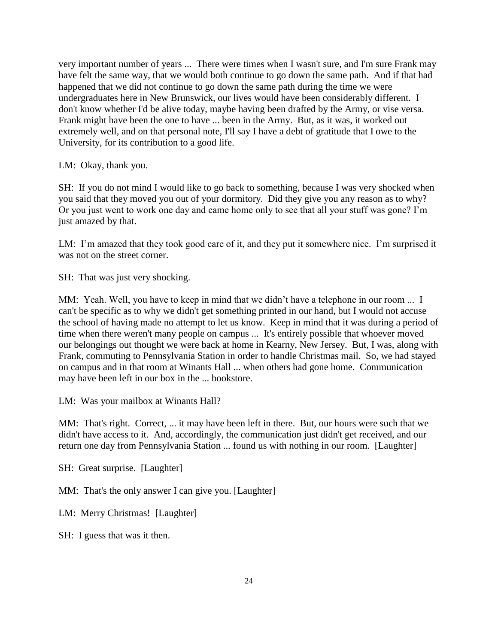very important number of years ... There were times when I wasn't sure, and I'm sure Frank may have felt the same way, that we would both continue to go down the same path. And if that had happened that we did not continue to go down the same path during the time we were undergraduates here in New Brunswick, our lives would have been considerably different. I don't know whether I'd be alive today, maybe having been drafted by the Army, or vise versa. Frank might have been the one to have ... been in the Army. But, as it was, it worked out extremely well, and on that personal note, I'll say I have a debt of gratitude that I owe to the University, for its contribution to a good life.

LM: Okay, thank you.

SH: If you do not mind I would like to go back to something, because I was very shocked when you said that they moved you out of your dormitory. Did they give you any reason as to why? Or you just went to work one day and came home only to see that all your stuff was gone? I'm just amazed by that.

LM: I'm amazed that they took good care of it, and they put it somewhere nice. I'm surprised it was not on the street corner.

SH: That was just very shocking.

MM: Yeah. Well, you have to keep in mind that we didn't have a telephone in our room ... I can't be specific as to why we didn't get something printed in our hand, but I would not accuse the school of having made no attempt to let us know. Keep in mind that it was during a period of time when there weren't many people on campus ... It's entirely possible that whoever moved our belongings out thought we were back at home in Kearny, New Jersey. But, I was, along with Frank, commuting to Pennsylvania Station in order to handle Christmas mail. So, we had stayed on campus and in that room at Winants Hall ... when others had gone home. Communication may have been left in our box in the ... bookstore.

LM: Was your mailbox at Winants Hall?

MM: That's right. Correct, ... it may have been left in there. But, our hours were such that we didn't have access to it. And, accordingly, the communication just didn't get received, and our return one day from Pennsylvania Station ... found us with nothing in our room. [Laughter]

SH: Great surprise. [Laughter]

MM: That's the only answer I can give you. [Laughter]

LM: Merry Christmas! [Laughter]

SH: I guess that was it then.